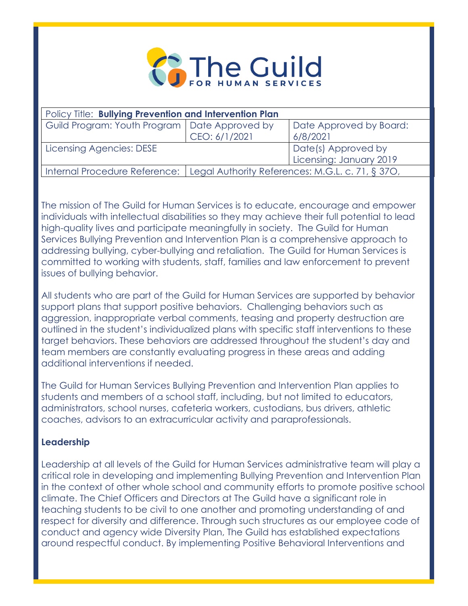

| Policy Title: Bullying Prevention and Intervention Plan |                                                                                  |                         |
|---------------------------------------------------------|----------------------------------------------------------------------------------|-------------------------|
| Guild Program: Youth Program   Date Approved by         |                                                                                  | Date Approved by Board: |
|                                                         | CEO: 6/1/2021                                                                    | 6/8/2021                |
| Licensing Agencies: DESE                                |                                                                                  | Date(s) Approved by     |
|                                                         |                                                                                  | Licensing: January 2019 |
|                                                         | Internal Procedure Reference:   Legal Authority References: M.G.L. c. 71, § 370, |                         |

The mission of The Guild for Human Services is to educate, encourage and empower individuals with intellectual disabilities so they may achieve their full potential to lead high-quality lives and participate meaningfully in society. The Guild for Human Services Bullying Prevention and Intervention Plan is a comprehensive approach to addressing bullying, cyber-bullying and retaliation. The Guild for Human Services is committed to working with students, staff, families and law enforcement to prevent issues of bullying behavior.

All students who are part of the Guild for Human Services are supported by behavior support plans that support positive behaviors. Challenging behaviors such as aggression, inappropriate verbal comments, teasing and property destruction are outlined in the student's individualized plans with specific staff interventions to these target behaviors. These behaviors are addressed throughout the student's day and team members are constantly evaluating progress in these areas and adding additional interventions if needed.

The Guild for Human Services Bullying Prevention and Intervention Plan applies to students and members of a school staff, including, but not limited to educators, administrators, school nurses, cafeteria workers, custodians, bus drivers, athletic coaches, advisors to an extracurricular activity and paraprofessionals.

# **Leadership**

Leadership at all levels of the Guild for Human Services administrative team will play a critical role in developing and implementing Bullying Prevention and Intervention Plan in the context of other whole school and community efforts to promote positive school climate. The Chief Officers and Directors at The Guild have a significant role in teaching students to be civil to one another and promoting understanding of and respect for diversity and difference. Through such structures as our employee code of conduct and agency wide Diversity Plan, The Guild has established expectations around respectful conduct. By implementing Positive Behavioral Interventions and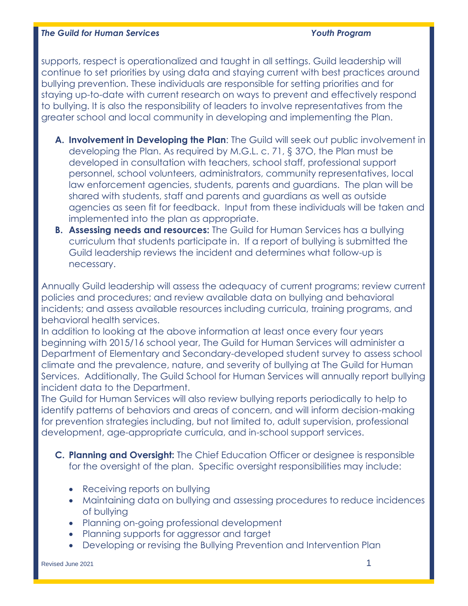supports, respect is operationalized and taught in all settings. Guild leadership will continue to set priorities by using data and staying current with best practices around bullying prevention. These individuals are responsible for setting priorities and for staying up-to-date with current research on ways to prevent and effectively respond to bullying. It is also the responsibility of leaders to involve representatives from the greater school and local community in developing and implementing the Plan.

- **A. Involvement in Developing the Plan**: The Guild will seek out public involvement in developing the Plan. As required by M.G.L. c. 71, § 37O, the Plan must be developed in consultation with teachers, school staff, professional support personnel, school volunteers, administrators, community representatives, local law enforcement agencies, students, parents and guardians. The plan will be shared with students, staff and parents and guardians as well as outside agencies as seen fit for feedback. Input from these individuals will be taken and implemented into the plan as appropriate.
- **B. Assessing needs and resources:** The Guild for Human Services has a bullying curriculum that students participate in. If a report of bullying is submitted the Guild leadership reviews the incident and determines what follow-up is necessary.

Annually Guild leadership will assess the adequacy of current programs; review current policies and procedures; and review available data on bullying and behavioral incidents; and assess available resources including curricula, training programs, and behavioral health services.

In addition to looking at the above information at least once every four years beginning with 2015/16 school year, The Guild for Human Services will administer a Department of Elementary and Secondary-developed student survey to assess school climate and the prevalence, nature, and severity of bullying at The Guild for Human Services. Additionally, The Guild School for Human Services will annually report bullying incident data to the Department.

The Guild for Human Services will also review bullying reports periodically to help to identify patterns of behaviors and areas of concern, and will inform decision-making for prevention strategies including, but not limited to, adult supervision, professional development, age-appropriate curricula, and in-school support services.

- **C. Planning and Oversight:** The Chief Education Officer or designee is responsible for the oversight of the plan. Specific oversight responsibilities may include:
	- Receiving reports on bullying
	- Maintaining data on bullying and assessing procedures to reduce incidences of bullying
	- Planning on-going professional development
	- Planning supports for aggressor and target
	- Developing or revising the Bullying Prevention and Intervention Plan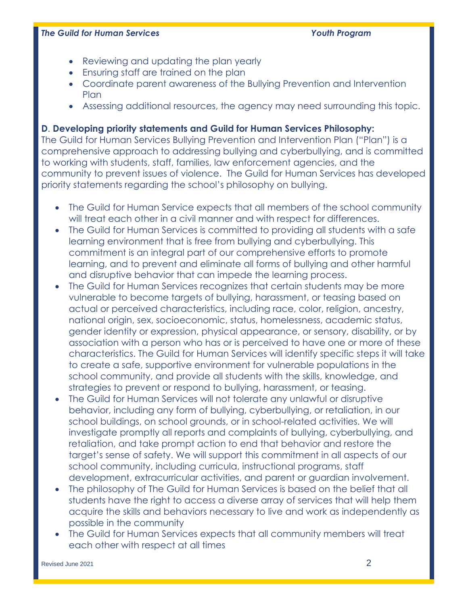- Reviewing and updating the plan yearly
- Ensuring staff are trained on the plan
- Coordinate parent awareness of the Bullying Prevention and Intervention **Plan**
- Assessing additional resources, the agency may need surrounding this topic.

# **D**. **Developing priority statements and Guild for Human Services Philosophy:**

The Guild for Human Services Bullying Prevention and Intervention Plan ("Plan") is a comprehensive approach to addressing bullying and cyberbullying, and is committed to working with students, staff, families, law enforcement agencies, and the community to prevent issues of violence. The Guild for Human Services has developed priority statements regarding the school's philosophy on bullying.

- The Guild for Human Service expects that all members of the school community will treat each other in a civil manner and with respect for differences.
- The Guild for Human Services is committed to providing all students with a safe learning environment that is free from bullying and cyberbullying. This commitment is an integral part of our comprehensive efforts to promote learning, and to prevent and eliminate all forms of bullying and other harmful and disruptive behavior that can impede the learning process.
- The Guild for Human Services recognizes that certain students may be more vulnerable to become targets of bullying, harassment, or teasing based on actual or perceived characteristics, including race, color, religion, ancestry, national origin, sex, socioeconomic, status, homelessness, academic status, gender identity or expression, physical appearance, or sensory, disability, or by association with a person who has or is perceived to have one or more of these characteristics. The Guild for Human Services will identify specific steps it will take to create a safe, supportive environment for vulnerable populations in the school community, and provide all students with the skills, knowledge, and strategies to prevent or respond to bullying, harassment, or teasing.
- The Guild for Human Services will not tolerate any unlawful or disruptive behavior, including any form of bullying, cyberbullying, or retaliation, in our school buildings, on school grounds, or in school-related activities. We will investigate promptly all reports and complaints of bullying, cyberbullying, and retaliation, and take prompt action to end that behavior and restore the target's sense of safety. We will support this commitment in all aspects of our school community, including curricula, instructional programs, staff development, extracurricular activities, and parent or guardian involvement.
- The philosophy of The Guild for Human Services is based on the belief that all students have the right to access a diverse array of services that will help them acquire the skills and behaviors necessary to live and work as independently as possible in the community
- The Guild for Human Services expects that all community members will treat each other with respect at all times

Revised June 2021 2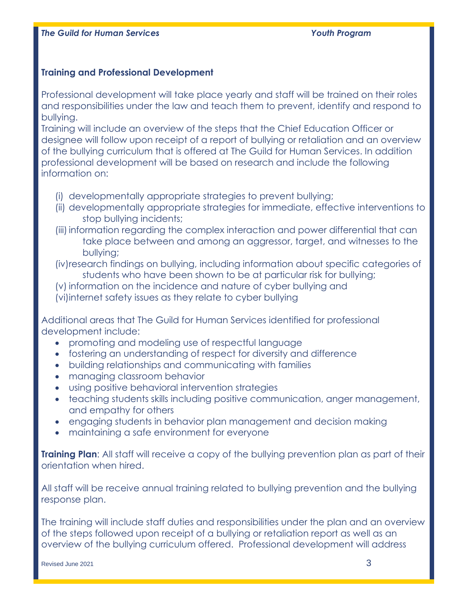# **Training and Professional Development**

Professional development will take place yearly and staff will be trained on their roles and responsibilities under the law and teach them to prevent, identify and respond to bullying.

Training will include an overview of the steps that the Chief Education Officer or designee will follow upon receipt of a report of bullying or retaliation and an overview of the bullying curriculum that is offered at The Guild for Human Services. In addition professional development will be based on research and include the following information on:

- (i) developmentally appropriate strategies to prevent bullying;
- (ii) developmentally appropriate strategies for immediate, effective interventions to stop bullying incidents;
- (iii) information regarding the complex interaction and power differential that can take place between and among an aggressor, target, and witnesses to the bullying;
- (iv)research findings on bullying, including information about specific categories of students who have been shown to be at particular risk for bullying;
- (v) information on the incidence and nature of cyber bullying and
- (vi)internet safety issues as they relate to cyber bullying

Additional areas that The Guild for Human Services identified for professional development include:

- promoting and modeling use of respectful language
- fostering an understanding of respect for diversity and difference
- building relationships and communicating with families
- managing classroom behavior
- using positive behavioral intervention strategies
- teaching students skills including positive communication, anger management, and empathy for others
- engaging students in behavior plan management and decision making
- maintaining a safe environment for everyone

**Training Plan:** All staff will receive a copy of the bullying prevention plan as part of their orientation when hired.

All staff will be receive annual training related to bullying prevention and the bullying response plan.

The training will include staff duties and responsibilities under the plan and an overview of the steps followed upon receipt of a bullying or retaliation report as well as an overview of the bullying curriculum offered. Professional development will address

Revised June 2021 3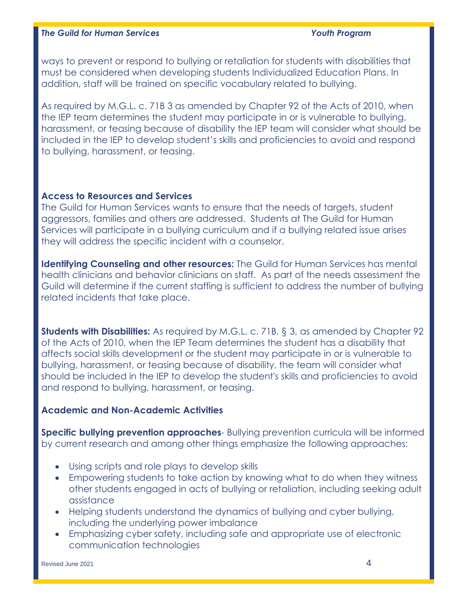ways to prevent or respond to bullying or retaliation for students with disabilities that must be considered when developing students Individualized Education Plans. In addition, staff will be trained on specific vocabulary related to bullying.

As required by M.G.L. c. 71B 3 as amended by Chapter 92 of the Acts of 2010, when the IEP team determines the student may participate in or is vulnerable to bullying, harassment, or teasing because of disability the IEP team will consider what should be included in the IEP to develop student's skills and proficiencies to avoid and respond to bullying, harassment, or teasing.

## **Access to Resources and Services**

The Guild for Human Services wants to ensure that the needs of targets, student aggressors, families and others are addressed. Students at The Guild for Human Services will participate in a bullying curriculum and if a bullying related issue arises they will address the specific incident with a counselor.

**Identifying Counseling and other resources:** The Guild for Human Services has mental health clinicians and behavior clinicians on staff. As part of the needs assessment the Guild will determine if the current staffing is sufficient to address the number of bullying related incidents that take place.

**Students with Disabilities:** As required by M.G.L. c. 71B, § 3, as amended by Chapter 92 of the Acts of 2010, when the IEP Team determines the student has a disability that affects social skills development or the student may participate in or is vulnerable to bullying, harassment, or teasing because of disability, the team will consider what should be included in the IEP to develop the student's skills and proficiencies to avoid and respond to bullying, harassment, or teasing.

# **Academic and Non-Academic Activities**

**Specific bullying prevention approaches**- Bullying prevention curricula will be informed by current research and among other things emphasize the following approaches:

- Using scripts and role plays to develop skills
- Empowering students to take action by knowing what to do when they witness other students engaged in acts of bullying or retaliation, including seeking adult assistance
- Helping students understand the dynamics of bullying and cyber bullying, including the underlying power imbalance
- Emphasizing cyber safety, including safe and appropriate use of electronic communication technologies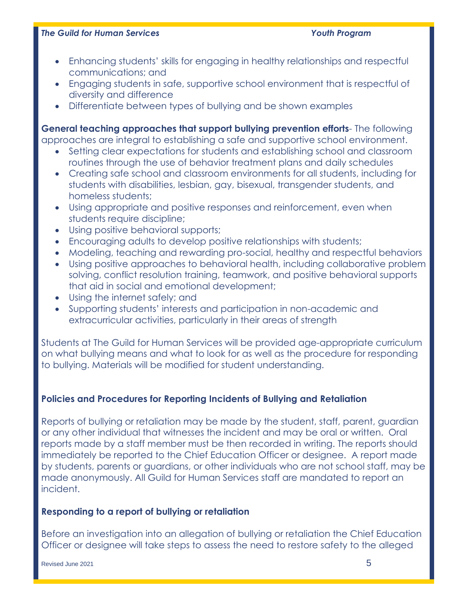- Enhancing students' skills for engaging in healthy relationships and respectful communications; and
- Engaging students in safe, supportive school environment that is respectful of diversity and difference
- Differentiate between types of bullying and be shown examples

**General teaching approaches that support bullying prevention efforts**- The following approaches are integral to establishing a safe and supportive school environment.

- Setting clear expectations for students and establishing school and classroom routines through the use of behavior treatment plans and daily schedules
- Creating safe school and classroom environments for all students, including for students with disabilities, lesbian, gay, bisexual, transgender students, and homeless students;
- Using appropriate and positive responses and reinforcement, even when students require discipline;
- Using positive behavioral supports;
- Encouraging adults to develop positive relationships with students;
- Modeling, teaching and rewarding pro-social, healthy and respectful behaviors
- Using positive approaches to behavioral health, including collaborative problem solving, conflict resolution training, teamwork, and positive behavioral supports that aid in social and emotional development;
- Using the internet safely; and
- Supporting students' interests and participation in non-academic and extracurricular activities, particularly in their areas of strength

Students at The Guild for Human Services will be provided age-appropriate curriculum on what bullying means and what to look for as well as the procedure for responding to bullying. Materials will be modified for student understanding.

# **Policies and Procedures for Reporting Incidents of Bullying and Retaliation**

Reports of bullying or retaliation may be made by the student, staff, parent, guardian or any other individual that witnesses the incident and may be oral or written. Oral reports made by a staff member must be then recorded in writing. The reports should immediately be reported to the Chief Education Officer or designee. A report made by students, parents or guardians, or other individuals who are not school staff, may be made anonymously. All Guild for Human Services staff are mandated to report an incident.

# **Responding to a report of bullying or retaliation**

Before an investigation into an allegation of bullying or retaliation the Chief Education Officer or designee will take steps to assess the need to restore safety to the alleged

Revised June 2021  $\,$   $\,$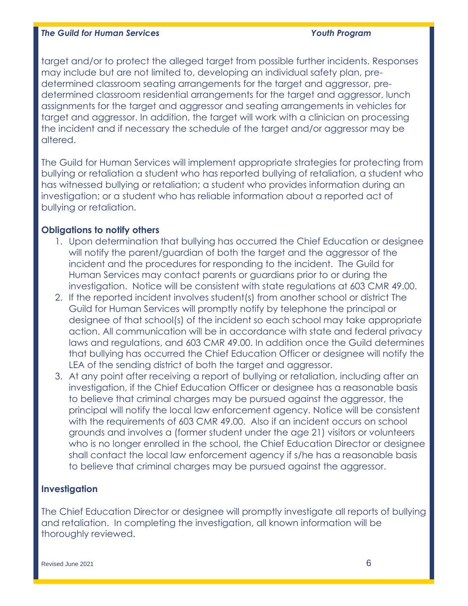target and/or to protect the alleged target from possible further incidents. Responses may include but are not limited to, developing an individual safety plan, predetermined classroom seating arrangements for the target and aggressor, predetermined classroom residential arrangements for the target and aggressor, lunch assignments for the target and aggressor and seating arrangements in vehicles for target and aggressor. In addition, the target will work with a clinician on processing the incident and if necessary the schedule of the target and/or aggressor may be altered.

The Guild for Human Services will implement appropriate strategies for protecting from bullying or retaliation a student who has reported bullying of retaliation, a student who has witnessed bullying or retaliation; a student who provides information during an investigation; or a student who has reliable information about a reported act of bullying or retaliation.

## **Obligations to notify others**

- 1. Upon determination that bullying has occurred the Chief Education or designee will notify the parent/guardian of both the target and the aggressor of the incident and the procedures for responding to the incident. The Guild for Human Services may contact parents or guardians prior to or during the investigation. Notice will be consistent with state regulations at 603 CMR 49.00.
- 2. If the reported incident involves student(s) from another school or district The Guild for Human Services will promptly notify by telephone the principal or designee of that school(s) of the incident so each school may take appropriate action. All communication will be in accordance with state and federal privacy laws and regulations, and 603 CMR 49.00. In addition once the Guild determines that bullying has occurred the Chief Education Officer or designee will notify the LEA of the sending district of both the target and aggressor.
- 3. At any point after receiving a report of bullying or retaliation, including after an investigation, if the Chief Education Officer or designee has a reasonable basis to believe that criminal charges may be pursued against the aggressor, the principal will notify the local law enforcement agency. Notice will be consistent with the requirements of 603 CMR 49.00. Also if an incident occurs on school grounds and involves a (former student under the age 21) visitors or volunteers who is no longer enrolled in the school, the Chief Education Director or designee shall contact the local law enforcement agency if s/he has a reasonable basis to believe that criminal charges may be pursued against the aggressor.

# **Investigation**

The Chief Education Director or designee will promptly investigate all reports of bullying and retaliation. In completing the investigation, all known information will be thoroughly reviewed.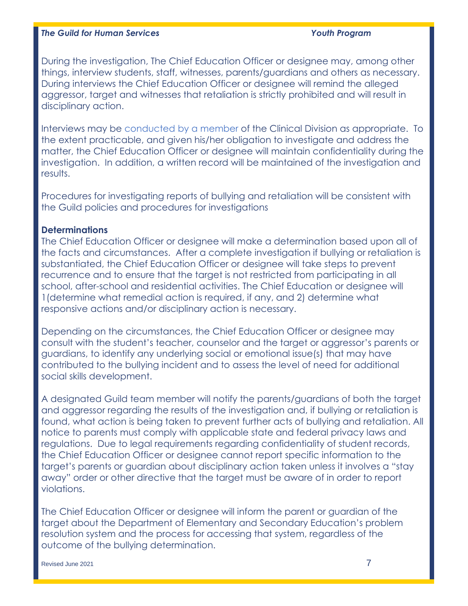During the investigation, The Chief Education Officer or designee may, among other things, interview students, staff, witnesses, parents/guardians and others as necessary. During interviews the Chief Education Officer or designee will remind the alleged aggressor, target and witnesses that retaliation is strictly prohibited and will result in disciplinary action.

Interviews may be conducted by a member of the Clinical Division as appropriate. To the extent practicable, and given his/her obligation to investigate and address the matter, the Chief Education Officer or designee will maintain confidentiality during the investigation. In addition, a written record will be maintained of the investigation and results.

Procedures for investigating reports of bullying and retaliation will be consistent with the Guild policies and procedures for investigations

## **Determinations**

The Chief Education Officer or designee will make a determination based upon all of the facts and circumstances. After a complete investigation if bullying or retaliation is substantiated, the Chief Education Officer or designee will take steps to prevent recurrence and to ensure that the target is not restricted from participating in all school, after-school and residential activities. The Chief Education or designee will 1(determine what remedial action is required, if any, and 2) determine what responsive actions and/or disciplinary action is necessary.

Depending on the circumstances, the Chief Education Officer or designee may consult with the student's teacher, counselor and the target or aggressor's parents or guardians, to identify any underlying social or emotional issue(s) that may have contributed to the bullying incident and to assess the level of need for additional social skills development.

A designated Guild team member will notify the parents/guardians of both the target and aggressor regarding the results of the investigation and, if bullying or retaliation is found, what action is being taken to prevent further acts of bullying and retaliation. All notice to parents must comply with applicable state and federal privacy laws and regulations. Due to legal requirements regarding confidentiality of student records, the Chief Education Officer or designee cannot report specific information to the target's parents or guardian about disciplinary action taken unless it involves a "stay away" order or other directive that the target must be aware of in order to report violations.

The Chief Education Officer or designee will inform the parent or guardian of the target about the Department of Elementary and Secondary Education's problem resolution system and the process for accessing that system, regardless of the outcome of the bullying determination.

Revised June 2021 7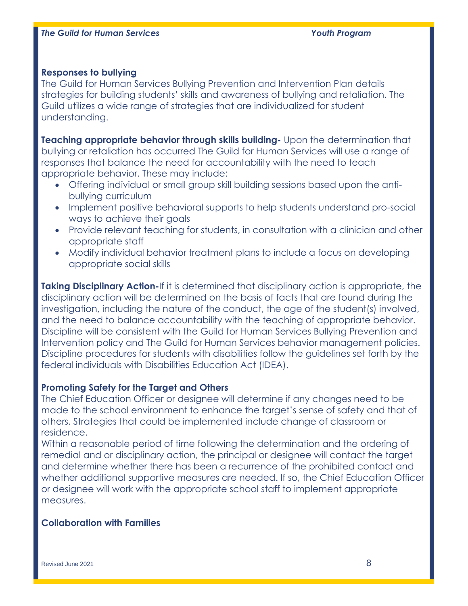### **Responses to bullying**

The Guild for Human Services Bullying Prevention and Intervention Plan details strategies for building students' skills and awareness of bullying and retaliation. The Guild utilizes a wide range of strategies that are individualized for student understanding.

**Teaching appropriate behavior through skills building-** Upon the determination that bullying or retaliation has occurred The Guild for Human Services will use a range of responses that balance the need for accountability with the need to teach appropriate behavior. These may include:

- Offering individual or small group skill building sessions based upon the antibullying curriculum
- Implement positive behavioral supports to help students understand pro-social ways to achieve their goals
- Provide relevant teaching for students, in consultation with a clinician and other appropriate staff
- Modify individual behavior treatment plans to include a focus on developing appropriate social skills

**Taking Disciplinary Action-**If it is determined that disciplinary action is appropriate, the disciplinary action will be determined on the basis of facts that are found during the investigation, including the nature of the conduct, the age of the student(s) involved, and the need to balance accountability with the teaching of appropriate behavior. Discipline will be consistent with the Guild for Human Services Bullying Prevention and Intervention policy and The Guild for Human Services behavior management policies. Discipline procedures for students with disabilities follow the guidelines set forth by the federal individuals with Disabilities Education Act (IDEA).

## **Promoting Safety for the Target and Others**

The Chief Education Officer or designee will determine if any changes need to be made to the school environment to enhance the target's sense of safety and that of others. Strategies that could be implemented include change of classroom or residence.

Within a reasonable period of time following the determination and the ordering of remedial and or disciplinary action, the principal or designee will contact the target and determine whether there has been a recurrence of the prohibited contact and whether additional supportive measures are needed. If so, the Chief Education Officer or designee will work with the appropriate school staff to implement appropriate measures.

# **Collaboration with Families**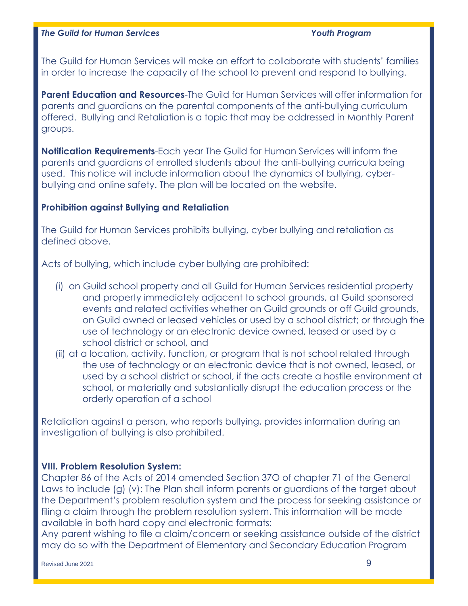The Guild for Human Services will make an effort to collaborate with students' families in order to increase the capacity of the school to prevent and respond to bullying.

**Parent Education and Resources**-The Guild for Human Services will offer information for parents and guardians on the parental components of the anti-bullying curriculum offered. Bullying and Retaliation is a topic that may be addressed in Monthly Parent groups.

**Notification Requirements**-Each year The Guild for Human Services will inform the parents and guardians of enrolled students about the anti-bullying curricula being used. This notice will include information about the dynamics of bullying, cyberbullying and online safety. The plan will be located on the website.

## **Prohibition against Bullying and Retaliation**

The Guild for Human Services prohibits bullying, cyber bullying and retaliation as defined above.

Acts of bullying, which include cyber bullying are prohibited:

- (i) on Guild school property and all Guild for Human Services residential property and property immediately adjacent to school grounds, at Guild sponsored events and related activities whether on Guild grounds or off Guild grounds, on Guild owned or leased vehicles or used by a school district; or through the use of technology or an electronic device owned, leased or used by a school district or school, and
- (ii) at a location, activity, function, or program that is not school related through the use of technology or an electronic device that is not owned, leased, or used by a school district or school, if the acts create a hostile environment at school, or materially and substantially disrupt the education process or the orderly operation of a school

Retaliation against a person, who reports bullying, provides information during an investigation of bullying is also prohibited.

# **VIII. Problem Resolution System:**

Chapter 86 of the Acts of 2014 amended Section 37O of chapter 71 of the General Laws to include (g) (v): The Plan shall inform parents or guardians of the target about the Department's problem resolution system and the process for seeking assistance or filing a claim through the problem resolution system. This information will be made available in both hard copy and electronic formats:

Any parent wishing to file a claim/concern or seeking assistance outside of the district may do so with the Department of Elementary and Secondary Education Program

Revised June 2021  $\,$  9  $\,$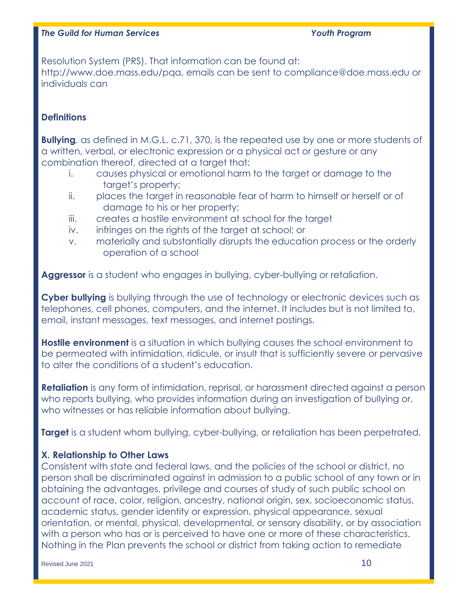Resolution System (PRS). That information can be found at: http://www.doe.mass.edu/pqa, emails can be sent to compliance@doe.mass.edu or individuals can

# **Definitions**

**Bullying***,* as defined in M.G.L. c.71, 370, is the repeated use by one or more students of a written, verbal, or electronic expression or a physical act or gesture or any combination thereof, directed at a target that:

- i. causes physical or emotional harm to the target or damage to the target's property;
- ii. places the target in reasonable fear of harm to himself or herself or of damage to his or her property;
- iii. creates a hostile environment at school for the target
- iv. infringes on the rights of the target at school; or
- v. materially and substantially disrupts the education process or the orderly operation of a school

**Aggressor** is a student who engages in bullying, cyber-bullying or retaliation.

**Cyber bullying** is bullying through the use of technology or electronic devices such as telephones, cell phones, computers, and the internet. It includes but is not limited to, email, instant messages, text messages, and internet postings.

**Hostile environment** is a situation in which bullying causes the school environment to be permeated with intimidation, ridicule, or insult that is sufficiently severe or pervasive to alter the conditions of a student's education.

**Retaliation** is any form of intimidation, reprisal, or harassment directed against a person who reports bullying, who provides information during an investigation of bullying or, who witnesses or has reliable information about bullying.

**Target** is a student whom bullying, cyber-bullying, or retaliation has been perpetrated.

# **X. Relationship to Other Laws**

Consistent with state and federal laws, and the policies of the school or district, no person shall be discriminated against in admission to a public school of any town or in obtaining the advantages, privilege and courses of study of such public school on account of race, color, religion, ancestry, national origin, sex, socioeconomic status, academic status, gender identity or expression, physical appearance, sexual orientation, or mental, physical, developmental, or sensory disability, or by association with a person who has or is perceived to have one or more of these characteristics. Nothing in the Plan prevents the school or district from taking action to remediate

Revised June 2021  $\,$  10  $\,$